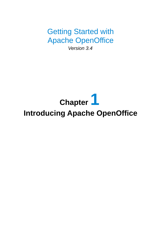Getting Started with Apache OpenOffice

*Version 3.4*

# **Chapter 1 Introducing Apache OpenOffice**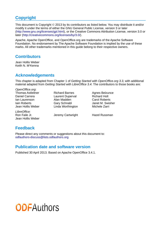## <span id="page-1-0"></span>**Copyright**

This document is Copyright © 2013 by its contributors as listed below. You may distribute it and/or modify it under the terms of either the GNU General Public License, version 3 or later [\(http://www.gnu.org/licenses/gpl.html\)](http://www.gnu.org/licenses/gpl.html), or the Creative Commons Attribution License, version 3.0 or later [\(http://creativecommons.org/licenses/by/3.0/\)](http://creativecommons.org/licenses/by/3.0/).

Apache, Apache OpenOffice, and OpenOffice.org are trademarks of the Apache Software Foundation. No endorsement by The Apache Software Foundation is implied by the use of these marks. All other trademarks mentioned in this guide belong to their respective owners.

## **Contributors**

Jean Hollis Weber Keith N. M<sup>c</sup>Kenna

## **Acknowledgements**

This chapter is adapted from Chapter 1 of *Getting Started with OpenOffice.org 3.3*, with additional material adapted from *Getting Started with LibreOffice 3.4*. The contributors to those books are:

*OpenOffice.org*: Thomas Astleitner **Richard Barnes** Agnes Belzunce<br>
Daniel Carrera **Richard Laurent Duperval** Richard Holt Daniel Carrera Laurent Duperval Ian Laurenson Alan Madden Carol Roberts Iain Roberts Gary Schnabl Janet M. Swisher Jean Hollis Weber **Linda Worthington** Michele Zarri

*LibreOffice:* Ron Faile Jr. **In the State State State III Cartwright** Hazel Russman Jean Hollis Weber

## **Feedback**

Please direct any comments or suggestions about this document to: [odfauthors-discuss@lists.odfauthors.org](mailto:odfauthors-discuss@lists.odfauthors.org)

## **Publication date and software version**

Published 30 April 2013. Based on Apache OpenOffice 3.4.1.

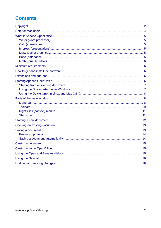## **Contents**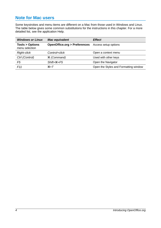## <span id="page-3-0"></span>**Note for Mac users**

Some keystrokes and menu items are different on a Mac from those used in Windows and Linux. The table below gives some common substitutions for the instructions in this chapter. For a more detailed list, see the application Help.

| <b>Windows or Linux</b>                     | <b>Mac equivalent</b>                  | Effect                                |
|---------------------------------------------|----------------------------------------|---------------------------------------|
| <b>Tools &gt; Options</b><br>menu selection | <b>OpenOffice.org &gt; Preferences</b> | Access setup options                  |
| <b>Right-click</b>                          | Control+click                          | Open a context menu                   |
| Ctrl (Control)                              | $\frac{12}{10}$ (Command)              | Used with other keys                  |
| F <sub>5</sub>                              | $Shift+$ $\$ + $F5$                    | Open the Navigator                    |
| F11                                         | $\mathcal{H}+T$                        | Open the Styles and Formatting window |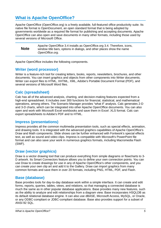## <span id="page-4-5"></span>**What is Apache OpenOffice?**

Apache OpenOffice (OpenOffice.org) is a freely available, full-featured office productivity suite. Its native file format is OpenDocument, an open standard format that is being adopted by governments worldwide as a required file format for publishing and accepting documents. Apache OpenOffice can also open and save documents in many other formats, including those used by several versions of Microsoft Office.

| <b>Note</b> | Apache OpenOffice 3.4 installs as OpenOffice.org 3.4. Therefore, icons,<br>window title bars, options in dialogs, and other places show the name<br>OpenOffice.org. |
|-------------|---------------------------------------------------------------------------------------------------------------------------------------------------------------------|
|-------------|---------------------------------------------------------------------------------------------------------------------------------------------------------------------|

Apache OpenOffice includes the following components.

#### <span id="page-4-4"></span>**Writer (word processor)**

Writer is a feature-rich tool for creating letters, books, reports, newsletters, brochures, and other documents. You can insert graphics and objects from other components into Writer documents. Writer can export files to HTML, XHTML, XML, Adobe's Portable Document Format (PDF), and several versions of Microsoft Word files.

## <span id="page-4-3"></span>**Calc (spreadsheet)**

Calc has all of the advanced analysis, charting, and decision-making features expected from a high-end spreadsheet. It includes over 300 functions for financial, statistical, and mathematical operations, among others. The Scenario Manager provides "what if" analysis. Calc generates 2-D and 3-D charts, which can be integrated into other Apache OpenOffice documents. You can also open and work with Microsoft Excel workbooks and save them in Excel .XLS format. Calc can export spreadsheets to Adobe's PDF and to HTML.

## <span id="page-4-2"></span>**Impress (presentations)**

Impress provides all the common multimedia presentation tools, such as special effects, animation, and drawing tools. It is integrated with the advanced graphics capabilities of Apache OpenOffice's Draw and Math components. Slide shows can be further enhanced with Fontwork's special effects text, as well as sound and video clips. Impress is compatible with Microsoft's PowerPoint file format and can also save your work in numerous graphics formats, including Macromedia Flash (SWF).

#### <span id="page-4-1"></span>**Draw (vector graphics)**

Draw is a vector drawing tool that can produce everything from simple diagrams or flowcharts to 3- D artwork. Its Smart Connectors feature allows you to define your own connection points. You can use Draw to create drawings for use in any of Apache OpenOffice's other components, and you can create your own clip art and add it to the Gallery. Draw can import graphics from many common formats and save them in over 20 formats, including PNG, HTML, PDF, and Flash.

#### <span id="page-4-0"></span>**Base (database)**

Base provides tools for day-to-day database work within a simple interface. It can create and edit forms, reports, queries, tables, views, and relations, so that managing a connected database is much the same as in other popular database applications. Base provides many new features, such as the ability to analyze and edit relationships from a diagram view. Base incorporates HSQLDB as its default relational database engine. It can also use dBASE, Microsoft Access, MySQL, or Oracle, or any ODBC-compliant or JDBC-compliant database. Base also provides support for a subset of ANSI-92 SQL.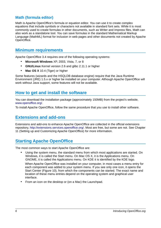## <span id="page-5-4"></span>**Math (formula editor)**

Math is Apache OpenOffice's formula or equation editor. You can use it to create complex equations that include symbols or characters not available in standard font sets. While it is most commonly used to create formulas in other documents, such as Writer and Impress files, Math can also work as a standalone tool. You can save formulas in the standard Mathematical Markup Language (MathML) format for inclusion in web pages and other documents not created by Apache OpenOffice.

## <span id="page-5-3"></span>**Minimum requirements**

Apache OpenOffice 3.4 requires one of the following operating systems:

- **Microsoft Windows** XP, 2003, Vista, 7, or 8
- **GNU/Linux** Kernel version 2.6 and glibc 2.11.1 or higher
- Mac OS X 10.4 (Tiger) or higher

Some features (wizards and the HSQLDB database engine) require that the Java Runtime Environment (JRE) 1.5.x or higher be installed on your computer. Although Apache OpenOffice will work without Java support, some features will not be available.

## <span id="page-5-2"></span>**How to get and install the software**

You can download the installation package (approximately 150MB) from the project's website, [www.openoffice.org/.](http://www.openoffice.org/)

To install Apache OpenOffice, follow the same procedure that you use to install other software.

## <span id="page-5-1"></span>**Extensions and add-ons**

Extensions and add-ons to enhance Apache OpenOffice are collected in the official extensions repository, [http://extensions.services.openoffice.org/.](http://extensions.services.openoffice.org/) Most are free, but some are not. See Chapter 11 (Setting up and Customizing Apache OpenOffice) for more information.

## <span id="page-5-0"></span>**Starting Apache OpenOffice**

The most common ways to start Apache OpenOffice are:

• Using the system menu, the standard menu from which most applications are started. On Windows, it is called the Start menu. On Mac OS X, it is the Applications menu. On GNOME, it is called the Applications menu. On KDE it is identified by the KDE logo.

When Apache OpenOffice was installed on your computer, in most cases a menu entry for each component was added to your system menu. If you see only one icon, it opens the Start Center [\(Figure 10\)](#page-11-1), from which the components can be started. The exact name and location of these menu entries depend on the operating system and graphical user interface.

• From an icon on the desktop or (on a Mac) the Launchpad.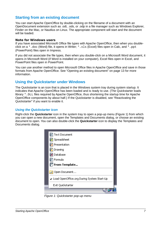## <span id="page-6-1"></span>**Starting from an existing document**

You can start Apache OpenOffice by double-clicking on the filename of a document with an OpenDocument extension such as .odt, .ods, or .odp in a file manager such as Windows Explorer, Finder on the Mac, or Nautilus on Linux. The appropriate component will start and the document will be loaded.

#### **Note for Windows users**

If you have associated Microsoft Office file types with Apache OpenOffice, then when you doubleclick on a \*.doc (Word) file, it opens in Writer; \*.xls (Excel) files open in Calc, and \*.ppt (PowerPoint) files open in Impress.

If you did not associate the file types, then when you double-click on a Microsoft Word document, it opens in Microsoft Word (if Word is installed on your computer), Excel files open in Excel, and PowerPoint files open in PowerPoint.

You can use another method to open Microsoft Office files in Apache OpenOffice and save in those formats from Apache OpenOffice. See ["Opening an existing document"](#page-12-1) on page [13](#page-12-1) for more information.

## <span id="page-6-0"></span>**Using the Quickstarter under Windows**

The Quickstarter is an icon that is placed in the Windows system tray during system startup. It indicates that Apache OpenOffice has been loaded and is ready to use. (The Quickstarter loads library \*.DLL files required by Apache OpenOffice, thus shortening the startup time for Apache OpenOffice components by about half.) If the Quickstarter is disabled, see ["Reactivating the](#page-7-3)  [Quickstarter"](#page-7-3) if you want to enable it.

#### *Using the Quickstarter icon*

Right-click the **Quickstarter** icon in the system tray to open a pop-up menu [\(Figure 1\)](#page-6-2) from which you can open a new document, open the Templates and Documents dialog, or choose an existing document to open. You can also double-click the **Quickstarter** icon to display the Templates and Documents dialog.

<span id="page-6-2"></span>

*Figure 1: Quickstarter pop-up menu*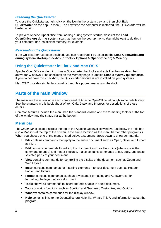#### *Disabling the Quickstarter*

To close the Quickstarter, right-click on the icon in the system tray, and then click **Exit Quickstarter** on the pop-up menu. The next time the computer is restarted, the Quickstarter will be loaded again.

To prevent Apache OpenOffice from loading during system startup, deselect the **Load OpenOffice.org during system start-up** item on the pop-up menu. You might want to do this if your computer has insufficient memory, for example.

#### <span id="page-7-3"></span>*Reactivating the Quickstarter*

If the Quickstarter has been disabled, you can reactivate it by selecting the **Load OpenOffice.org during system start-up** checkbox in **Tools > Options > OpenOffice.org > Memory**.

### <span id="page-7-2"></span>**Using the Quickstarter in Linux and Mac OS X**

Apache OpenOffice under Linux has a Quickstarter that looks and acts like the one described above for Windows. (The checkbox on the Memory page is labeled **Enable systray quickstarter**. If you do not have this checkbox, the Quickstarter module is not installed on your system.)

Mac OS X provides similar functionality through a pop-up menu from the dock.

## <span id="page-7-1"></span>**Parts of the main window**

The main window is similar in each component of Apache OpenOffice, although some details vary. See the chapters in this book about Writer, Calc, Draw, and Impress for descriptions of those details.

Common features include the menu bar, the standard toolbar, and the formatting toolbar at the top of the window and the status bar at the bottom.

#### <span id="page-7-0"></span>**Menu bar**

The *Menu bar* is located across the top of the Apache OpenOffice window, just below the Title bar. (On a Mac it is at the top of the screen in the same location as the menu bar for other programs.) When you choose one of the menus listed below, a submenu drops down to show commands.

- **File** contains commands that apply to the entire document such as Open, Save, and Export as PDF.
- **Edit** contains commands for editing the document such as Undo: xxx (where xxx is the command to undo) and Find & Replace. It also contains commands to cut, copy, and paste selected parts of your document.
- **View** contains commands for controlling the display of the document such as Zoom and Web Layout.
- **Insert** contains commands for inserting elements into your document such as Header, Footer, and Picture.
- **Format** contains commands, such as Styles and Formatting and AutoCorrect, for formatting the layout of your document.
- **Table** shows all commands to insert and edit a table in a text document.
- **Tools** contains functions such as Spelling and Grammar, Customize, and Options.
- **Window** contains commands for the display window.
- **Help** contains links to the OpenOffice.org Help file, What's This?, and information about the program.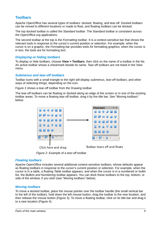## <span id="page-8-0"></span>**Toolbars**

Apache OpenOffice has several types of toolbars: docked, floating, and tear-off. Docked toolbars can be moved to different locations or made to float, and floating toolbars can be docked.

The top docked toolbar is called the *Standard toolbar*. The Standard toolbar is consistent across the OpenOffice.org applications.

The second toolbar at the top is the *Formatting toolbar*. It is a context-sensitive bar that shows the relevant tools in response to the cursor's current position or selection. For example, when the cursor is on a graphic, the Formatting bar provides tools for formatting graphics; when the cursor is in text, the tools are for formatting text.

#### *Displaying or hiding toolbars*

To display or hide toolbars, choose **View > Toolbars**, then click on the name of a toolbar in the list. An active toolbar shows a checkmark beside its name. Tear-off toolbars are not listed in the View menu.

#### *Submenus and tear-off toolbars*

Toolbar icons with a small triangle to the right will display *submenus*, *tear-off toolbars*, and other ways of selecting things, depending on the icon.

[Figure 2](#page-8-2) shows a tear-off toolbar from the Drawing toolbar.

The tear-off toolbars can be floating or docked along an edge of the screen or in one of the existing toolbar areas. To move a floating tear-off toolbar, drag it by the title bar. See ["Moving toolbars"](#page-8-1) below.



<span id="page-8-2"></span>*Figure 2: Example of a tear-off toolbar*

#### *Floating toolbars*

Apache OpenOffice includes several additional context-sensitive toolbars, whose defaults appear as floating toolbars in response to the cursor's current position or selection. For example, when the cursor is in a table, a floating *Table* toolbar appears, and when the cursor is in a numbered or bullet list, the *Bullets and Numbering* toolbar appears. You can dock these toolbars to the top, bottom, or side of the window, if you wish (see ["Moving toolbars"](#page-8-1) below).

#### <span id="page-8-1"></span>*Moving toolbars*

To move a docked toolbar, place the mouse pointer over the toolbar handle (the small vertical bar to the left of the toolbar), hold down the left mouse button, drag the toolbar to the new location, and then release the mouse button [\(Figure 3\)](#page-9-1). To move a floating toolbar, click on its title bar and drag it to a new location (Figure [4\)](#page-9-0).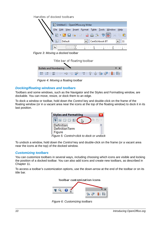Handles of docked toolbars



<span id="page-9-1"></span>*Figure 3: Moving a docked toolbar*

Title bar of floating toolbar

| <b>Bullets and Numbering</b>                |  |
|---------------------------------------------|--|
| := :=   ≡   ⊱ ⇒ '중 라   :=   ↑ ↑ ↑ ↑ ↑ ■ ™ ™ |  |

<span id="page-9-0"></span>*Figure 4: Moving a floating toolbar*

#### <span id="page-9-2"></span>*Docking/floating windows and toolbars*

Toolbars and some windows, such as the Navigator and the Styles and Formatting window, are dockable. You can move, resize, or dock them to an edge.

To dock a window or toolbar, hold down the *Control* key and double-click on the frame of the floating window (or in a vacant area near the icons at the top of the floating window) to dock it in its last position.



*Figure 5: Control+click to dock or undock*

To undock a window, hold down the *Control* key and double-click on the frame (or a vacant area near the icons at the top) of the docked window.

#### *Customizing toolbars*

You can customize toolbars in several ways, including choosing which icons are visible and locking the position of a docked toolbar. You can also add icons and create new toolbars, as described in Chapter 11.

To access a toolbar's customization options, use the down-arrow at the end of the toolbar or on its title bar.



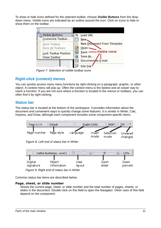To show or hide icons defined for the selected toolbar, choose **Visible Buttons** from the dropdown menu. Visible icons are indicated by an outline around the icon. Click on icons to hide or show them on the toolbar.

| Visible Buttons              | <b>Load URL</b>                   |
|------------------------------|-----------------------------------|
| Customize Toolbar            | New.                              |
| Dock Toolbar                 | <b>New Document From Template</b> |
| Dock All Toolbars            | Open                              |
| <b>Lock Toolbar Position</b> | -Visible icons<br>Save            |
| <b>Close Toolbar</b>         | Save As                           |
|                              | Document as E-mail                |
|                              | <b>Edit File</b>                  |

*Figure 7: Selection of visible toolbar icons*

## <span id="page-10-1"></span>**Right-click (context) menus**

You can quickly access many menu functions by right-clicking on a paragraph, graphic, or other object. A context menu will pop up. Often the context menu is the fastest and an easier way to reach a function. If you are not sure where a function is located in the menus or toolbars, you can often find it by right-clicking.

## <span id="page-10-0"></span>**Status bar**

The status bar is located at the bottom of the workspace. It provides information about the document and convenient ways to quickly change some features. It is similar in Writer, Calc, Impress, and Draw, although each component includes some component-specific items.



*Figure 8: Left end of status bar in Writer*



Common status bar items are described below.

#### **Page, sheet, or slide number**

Shows the current page, sheet, or slide number and the total number of pages, sheets, or slides in the document. Double-click on this field to open the Navigator. Other uses of this field depend on the component.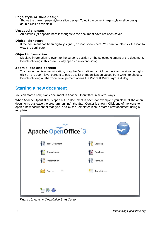#### **Page style or slide design**

Shows the current page style or slide design. To edit the current page style or slide design, double-click on this field.

#### **Unsaved changes**

An asterisk (\*) appears here if changes to the document have not been saved.

#### **Digital signature**

If the document has been digitally signed, an icon shows here. You can double-click the icon to view the certificate.

#### **Object information**

Displays information relevant to the cursor's position or the selected element of the document. Double-clicking in this area usually opens a relevant dialog.

#### **Zoom slider and percent**

To change the view magnification, drag the Zoom slider, or click on the  $+$  and  $-$  signs, or rightclick on the zoom level percent to pop up a list of magnification values from which to choose. Double-clicking on the zoom level percent opens the **Zoom & View Layout** dialog.

## <span id="page-11-0"></span>**Starting a new document**

You can start a new, blank document in Apache OpenOffice in several ways.

When Apache OpenOffice is open but no document is open (for example if you close all the open documents but leave the program running), the Start Center is shown. Click one of the icons to open a new document of that type, or click the Templates icon to start a new document using a template.

| Apache OpenOffice™3              |                |
|----------------------------------|----------------|
| Text Document                    | Drawing        |
| Spreadsheet                      | Database<br>Te |
| Presentation                     | Formula<br>论   |
| $\overline{\phantom{a}}$<br>Open | Templates      |
| 部目                               | ×              |

<span id="page-11-1"></span>*Figure 10: Apache OpenOffice Start Center*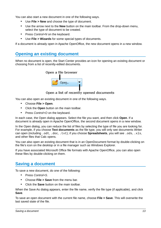You can also start a new document in one of the following ways.

- Use **File > New** and choose the type of document.
- Use the arrow next to the **New** button on the main toolbar. From the drop-down menu, select the type of document to be created.
- Press *Control+N* on the keyboard.
- Use **File > Wizards** for some special types of documents.

If a document is already open in Apache OpenOffice, the new document opens in a new window.

## <span id="page-12-1"></span>**Opening an existing document**

When no document is open, the Start Center provides an icon for opening an existing document or choosing from a list of recently-edited documents.



Open a list of recently opened documents

You can also open an existing document in one of the following ways.

- Choose **File > Open**.
- Click the **Open** button on the main toolbar.
- Press *Control+O* on the keyboard.

In each case, the Open dialog appears. Select the file you want, and then click **Open**. If a document is already open in Apache OpenOffice, the second document opens in a new window.

In the Open dialog, you can reduce the list of files by selecting the type of file you are looking for. For example, if you choose **Text documents** as the file type, you will only see documents Writer can open (including .odt, .doc, .txt); if you choose **Spreadsheets**, you will see .ods, .xls, and other files that Calc opens.

You can also open an existing document that is in an OpenDocument format by double-clicking on the file's icon on the desktop or in a file manager such as Windows Explorer.

If you have associated Microsoft Office file formats with Apache OpenOffice, you can also open these files by double-clicking on them.

## <span id="page-12-0"></span>**Saving a document**

To save a new document, do one of the following:

- Press *Control+S*.
- Choose **File > Save** from the menu bar.
- Click the **Save** button on the main toolbar.

When the Save As dialog appears, enter the file name, verify the file type (if applicable), and click **Save**.

To save an open document with the current file name, choose **File > Save**. This will overwrite the last saved state of the file.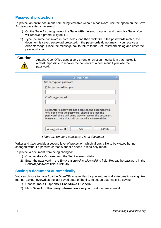## <span id="page-13-1"></span>**Password protection**

To protect an entire document from being viewable without a password, use the option on the Save As dialog to enter a password.

- 1) On the Save As dialog, select the **Save with password** option, and then click **Save**. You will receive a prompt [\(Figure 11\)](#page-13-2).
- 2) Type the same password in both fields, and then click **OK**. If the passwords match, the document is saved password protected. If the passwords do not match, you receive an error message. Close the message box to return to the Set Password dialog and enter the password again.

**Caution** Apache OpenOffice uses a very strong encryption mechanism that makes it almost impossible to recover the contents of a document if you lose the password.

| <b>Set Password</b>                                                                                                                                                                                                             |        |
|---------------------------------------------------------------------------------------------------------------------------------------------------------------------------------------------------------------------------------|--------|
| File encryption password                                                                                                                                                                                                        |        |
| Enter password to open                                                                                                                                                                                                          |        |
|                                                                                                                                                                                                                                 |        |
| Confirm password                                                                                                                                                                                                                |        |
|                                                                                                                                                                                                                                 |        |
| Note: After a password has been set, the document will<br>only open with the password. Should you lose the<br>password, there will be no way to recover the document.<br>Please also note that this password is case-sensitive. |        |
| ОΚ<br>More Options ₹                                                                                                                                                                                                            | Cancel |

<span id="page-13-2"></span>*Figure 11: Entering a password for a document*

Writer and Calc provide a second level of protection, which allows a file to be viewed but not changed without a password; that is, the file opens in read-only mode.

To protect a document from being changed:

- 1) Choose **More Options** from the Set Password dialog.
- 2) Enter the password in the *Enter password to allow editing* field. Repeat the password in the *Confirm password* field. Click **OK**.

#### <span id="page-13-0"></span>**Saving a document automatically**

You can choose to have Apache OpenOffice save files for you automatically. Automatic saving, like manual saving, overwrites the last saved state of the file. To set up automatic file saving:

- 1) Choose **Tools > Options > Load/Save > General**.
- 2) Mark **Save AutoRecovery information every**, and set the time interval.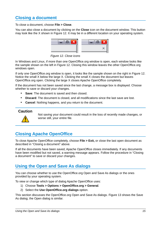## <span id="page-14-2"></span>**Closing a document**

To close a document, choose **File > Close**.

You can also close a document by clicking on the **Close** icon on the document window. This button may look like the X shown in [Figure 12.](#page-14-3) It may be in a different location on your operating system.



<span id="page-14-3"></span>*Figure 12. Close icons* 

In Windows and Linux, if more than one OpenOffice.org window is open, each window looks like the sample shown on the left in [Figure 12.](#page-14-3) Closing this window leaves the other OpenOffice.org windows open.

If only one OpenOffice.org window is open, it looks like the sample shown on the right in [Figure 12.](#page-14-3) Notice the small X below the large X. Clicking the small X closes the document but leaves OpenOffice.org open. Clicking the large X closes Apache OpenOffice completely.

If the document has not been saved since the last change, a message box is displayed. Choose whether to save or discard your changes.

- **Save**: The document is saved and then closed.
- **Discard**: The document is closed, and all modifications since the last save are lost.
- **Cancel**: Nothing happens, and you return to the document.

#### **Caution**



Not saving your document could result in the loss of recently made changes, or worse still, your entire file.

## <span id="page-14-1"></span>**Closing Apache OpenOffice**

To close Apache OpenOffice completely, choose **File > Exit,** or close the last open document as described in ["Closing a document"](#page-14-2) above.

If all the documents have been saved, Apache OpenOffice closes immediately. If any documents have been modified but not saved, a warning message appears. Follow the procedure in ["Closing](#page-14-2)  [a document"](#page-14-2) to save or discard your changes.

## <span id="page-14-0"></span>**Using the Open and Save As dialogs**

You can choose whether to use the OpenOffice.org Open and Save As dialogs or the ones provided by your operating system.

To view or change which type of dialog Apache OpenOffice uses:

- 1) Choose **Tools > Options > OpenOffice.org > General**.
- 2) Select the **Use OpenOffice.org dialogs** option.

This section discusses the OpenOffice.org Open and Save As dialogs. [Figure 13](#page-15-1) shows the Save As dialog; the Open dialog is similar.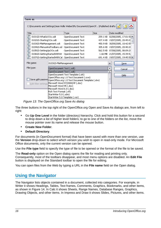| Save as                                                                          |                                                                   |                                                                              |          |                                 |                                 |  |
|----------------------------------------------------------------------------------|-------------------------------------------------------------------|------------------------------------------------------------------------------|----------|---------------------------------|---------------------------------|--|
| C:\Documents and Settings\Jean Hollis Weber\My Documents\OpenOf\Published drafts |                                                                   |                                                                              |          |                                 |                                 |  |
| Title $\triangle$                                                                |                                                                   | Type                                                                         | Size     |                                 | Date modified                   |  |
| 合 0101GS-WhatIsOOo.odt                                                           |                                                                   | OpenDocument Text                                                            |          | 259.1 KB 02/08/2005, 17:01:5( ^ |                                 |  |
| 0102GS-StartingOOo.odt                                                           |                                                                   | OpenDocument Text                                                            |          |                                 | 437.4 KB 19/07/2005, 20:45:03   |  |
| 0103GS-FileManagement.odt                                                        |                                                                   | OpenDocument Text                                                            |          |                                 | 450.9 KB 30/09/2005, 10:42:58   |  |
| 0104GS-MenusAndToolbars.od                                                       |                                                                   | OpenDocument Text                                                            |          |                                 | 305.6 KB 19/07/2005, 20:40:28   |  |
| 睂<br>0105GS-SettingUpOOo.odt                                                     |                                                                   | OpenDocument Text                                                            | 562.5 KB |                                 | 07/08/2005, 08:09:28            |  |
| 0106GS-GettingStartedWithWr                                                      |                                                                   | OpenDocument Text                                                            |          |                                 | 1.66 MB 21/07/2005, 15:39:52    |  |
| 0107GS-GettingStartedWithCal                                                     |                                                                   | OpenDocument Text                                                            |          |                                 | 691.4 KB 19/07/2005, 19:45:58 Y |  |
| File name:                                                                       | 0103GS-FileManagement                                             |                                                                              |          | v                               | Save                            |  |
| File type:                                                                       | OpenDocument Text (.odt)                                          |                                                                              |          | ▿                               | Cancel                          |  |
|                                                                                  | OpenDocument Text (.odt)                                          |                                                                              |          | ۸                               |                                 |  |
|                                                                                  |                                                                   | OpenDocument Text Template (.ott)<br>OpenOffice.org 1.0 Text Document (.sxw) |          |                                 | <u>H</u> elp                    |  |
|                                                                                  | Save with passwooopenOffice.org 1.0 Text Document Template (.stw) |                                                                              |          |                                 |                                 |  |
|                                                                                  | Edit filter settings Microsoft Word 97/2000/XP (.doc)             |                                                                              |          |                                 |                                 |  |
|                                                                                  | Microsoft Word 95 (.doc)                                          |                                                                              |          |                                 |                                 |  |
|                                                                                  | Microsoft Word 6.0 (.doc)<br>Rich Text Format (.rtf)              |                                                                              |          |                                 |                                 |  |
|                                                                                  | StarWriter 5.0 (.sdw)                                             |                                                                              |          |                                 |                                 |  |
|                                                                                  |                                                                   | StarWriter 5.0 Template (.vor)                                               |          |                                 |                                 |  |

<span id="page-15-1"></span>*Figure 13: The OpenOffice.org Save As dialog*

The three buttons in the top right of the OpenOffice.org Open and Save As dialogs are, from left to right:

- Go **Up One Level** in the folder (directory) hierarchy. Click and hold this button for a second to drop down a list of higher level folders; to go to one of the folders on the list, move the mouse pointer over its name and release the mouse button.
- **Create New Folder**.
- **Default Directory**.

For documents (in OpenDocument format) that have been saved with more than one version, use the **Version** drop-down to select which version you wish to open in read-only mode. For Microsoft Office documents, only the current version can be opened.

Use the **File type** field to specify the type of file to be opened or the format of the file to be saved.

The **Read-only** option on the Open dialog opens the file for reading and printing only. Consequently, most of the toolbars disappear, and most menu options are disabled. An **Edit File** button is displayed on the Standard toolbar to open the file for editing.

You can open files from the Web by typing a URL in the **File name** field on the Open dialog.

## <span id="page-15-0"></span>**Using the Navigator**

The Navigator lists objects contained in a document, collected into categories. For example, in Writer it shows Headings, Tables, Text frames, Comments, Graphics, Bookmarks, and other items, as shown in Figure [14.](#page-16-0) In Calc it shows Sheets, Range Names, Database Ranges, Graphics, Drawing Objects, and other items. In Impress and Draw it shows Slides, Pictures, and other items.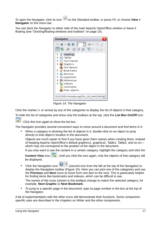To open the Navigator, click its icon  $\oslash$  on the Standard toolbar, or press *F5*, or choose **View > Navigator** on the menu bar.

You can dock the Navigator to either side of the main Apache OpenOffice window or leave it floating (see ["Docking/floating windows and toolbars"](#page-9-2) on page [10\)](#page-9-2).



*Figure 14: The Navigator*

<span id="page-16-0"></span>Click the marker (+ or arrow) by any of the categories to display the list of objects in that category.

To hide the list of categories and show only the toolbars at the top, click the **List Box On/Off** icon



 $\Box$ . Click this icon again to show the list box.

The Navigator provides several convenient ways to move around a document and find items in it:

• When a category is showing the list of objects in it, double-click on an object to jump directly to that object's location in the document.

Objects are much easier to find if you have given them names when creating them, instead of keeping Apache OpenOffice's default graphics1, graphics2, Table1, Table2, and so on which may not correspond to the position of the object in the document.

If you only want to see the content in a certain category, highlight the category and click the

**Content View** icon  $\mathbb{R}$ . Until you click the icon again, only the objects of that category will be displayed.

• Click the Navigation icon  $\mathbf{v}$  (second icon from the left at the top of the Navigator) to display the Navigation toolbar [\(Figure 15\)](#page-17-1). Here you can pick one of the categories and use the **Previous** and **Next** icons to move from one item to the next. This is particularly helpful for finding items like bookmarks and indexes, which can be difficult to see.

The names of the icons (shown in the tooltips) change to match the selected category; for example, **Next Graphic** or **Next Bookmark**.

• To jump to a specific page in the document, type its page number in the box at the top of the Navigator.

A bit of experimentation with the other icons will demonstrate their functions. Some componentspecific uses are described in the chapters on Writer and the other components.